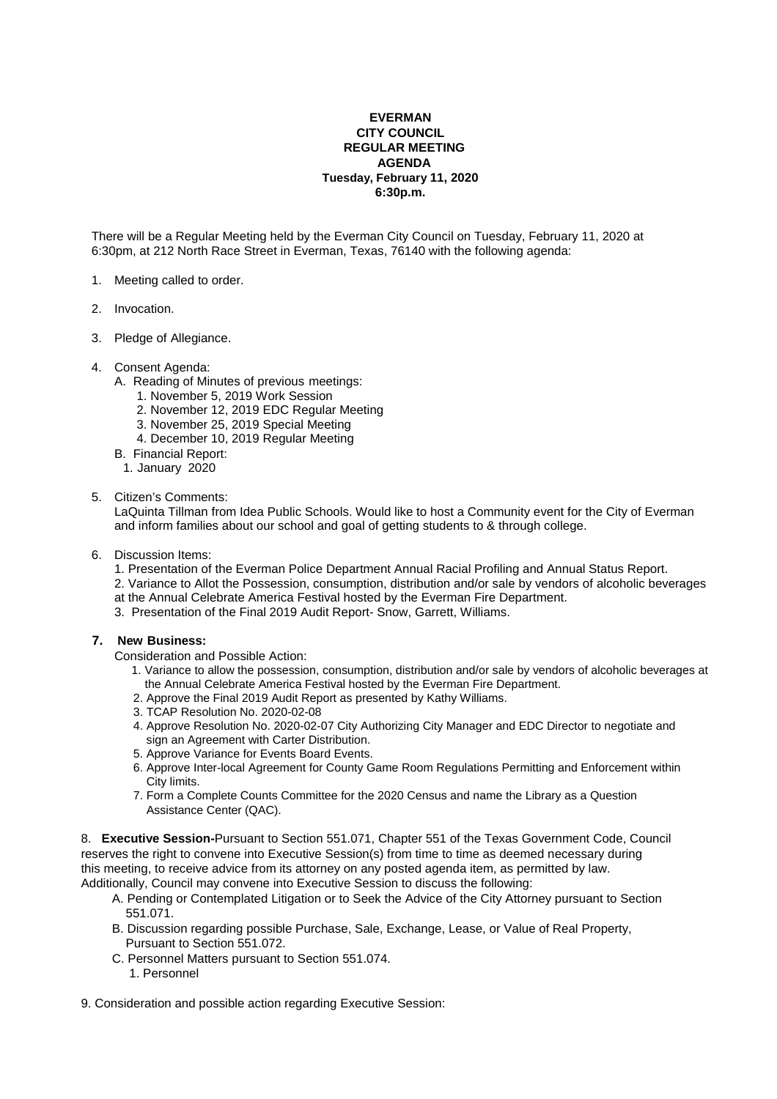## **EVERMAN CITY COUNCIL REGULAR MEETING AGENDA Tuesday, February 11, 2020 6:30p.m.**

There will be a Regular Meeting held by the Everman City Council on Tuesday, February 11, 2020 at 6:30pm, at 212 North Race Street in Everman, Texas, 76140 with the following agenda:

- 1. Meeting called to order.
- 2. Invocation.
- 3. Pledge of Allegiance.
- 4. Consent Agenda:
	- A. Reading of Minutes of previous meetings:
		- 1. November 5, 2019 Work Session
		- 2. November 12, 2019 EDC Regular Meeting
		- 3. November 25, 2019 Special Meeting
		- 4. December 10, 2019 Regular Meeting
	- B. Financial Report:
		- 1. January 2020
- 5. Citizen's Comments:

LaQuinta Tillman from Idea Public Schools. Would like to host a Community event for the City of Everman and inform families about our school and goal of getting students to & through college.

- 6. Discussion Items:
	- 1. Presentation of the Everman Police Department Annual Racial Profiling and Annual Status Report.
	- 2. Variance to Allot the Possession, consumption, distribution and/or sale by vendors of alcoholic beverages at the Annual Celebrate America Festival hosted by the Everman Fire Department.
	- 3. Presentation of the Final 2019 Audit Report- Snow, Garrett, Williams.

## **7. New Business:**

- Consideration and Possible Action:
	- 1. Variance to allow the possession, consumption, distribution and/or sale by vendors of alcoholic beverages at the Annual Celebrate America Festival hosted by the Everman Fire Department.
	- 2. Approve the Final 2019 Audit Report as presented by Kathy Williams.
	- 3. TCAP Resolution No. 2020-02-08
	- 4. Approve Resolution No. 2020-02-07 City Authorizing City Manager and EDC Director to negotiate and sign an Agreement with Carter Distribution.
	- 5. Approve Variance for Events Board Events.
	- 6. Approve Inter-local Agreement for County Game Room Regulations Permitting and Enforcement within City limits.
	- 7. Form a Complete Counts Committee for the 2020 Census and name the Library as a Question Assistance Center (QAC).

8. **Executive Session-**Pursuant to Section 551.071, Chapter 551 of the Texas Government Code, Council reserves the right to convene into Executive Session(s) from time to time as deemed necessary during this meeting, to receive advice from its attorney on any posted agenda item, as permitted by law. Additionally, Council may convene into Executive Session to discuss the following:

- A. Pending or Contemplated Litigation or to Seek the Advice of the City Attorney pursuant to Section 551.071.
- B. Discussion regarding possible Purchase, Sale, Exchange, Lease, or Value of Real Property, Pursuant to Section 551.072.
- C. Personnel Matters pursuant to Section 551.074.
- 1. Personnel

9. Consideration and possible action regarding Executive Session: